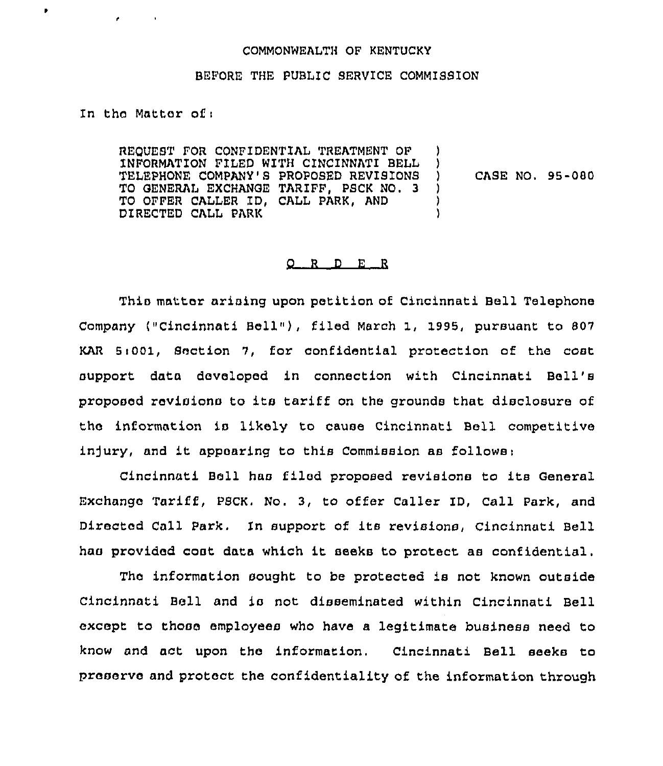## COMMONWEALTH OF KENTUCKY

## BEFORE THE PUBLIC SERVICE COMMISSION

In thc Matter of <sup>i</sup>

 $\bullet$ 

REQUEST FOR CONPIDENTIAL TREATMENT OF INFORMATION FILED WITH CINCINNATI BELL TELEPHONE COMPANY'S PROPOSED REVISIONS TO GENERAL EXCHANGE TARIFF, PSCK NO, 3 TO OFFER CALLER ID, CALL FARK, AND DIRECTED CALL PARK ) ) ) CASE NO. 95-080 ) ) )

## 0 <sup>R</sup> <sup>D</sup> E <sup>R</sup>

This matter arising upon petition of Cincinnati Bell Telephone Company ("Cincinnati Bell"), filed March 1, 1995, pursuant to 807 KAR 5:001, Section 7, for confidential protection of the cost support data developed in connection with Cincinnati Bell' proposed revisions to its tariff on the grounds that disclosure of the information is likely to cause Cincinnati Bell competitive injury, and it appearing to this Commission as follows:

Cincinnati Bell has filed proposed revisions to its General Exchange Tariff, PECK. No. 3, to offer Caller ID, Call Park, and Directed Call Park. In support of its revisions, Cincinnati Bell has provided cost data which it seeks to protect as confidential.

The information sought to be protected is not known outside Cincinnati Bell and is not disseminated within Cincinnati Bell except to those employees who have a legitimate business need to know and act upon the information. Cincinnati Bell seeks to preserve and protect the confidentiality of the information through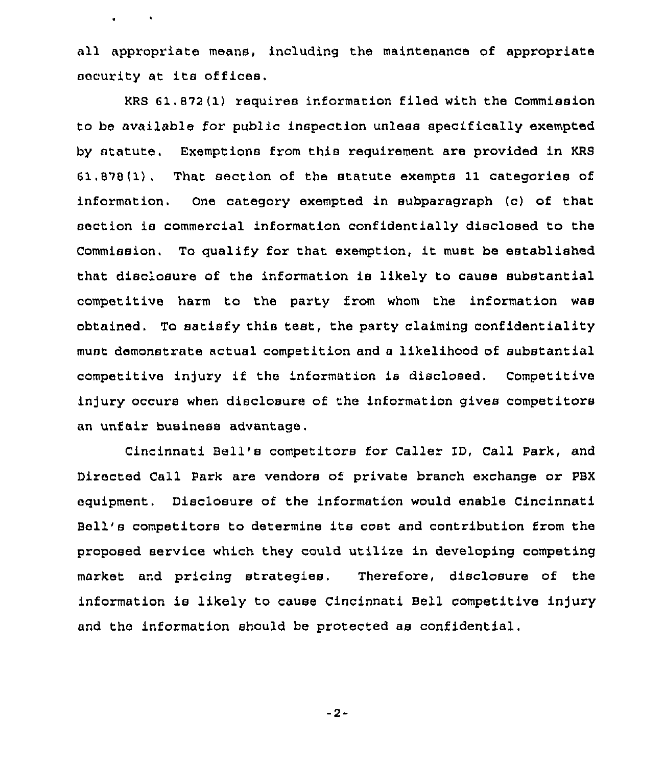all appropriate means, including the maintenance of appropriate security at its offices.

 $\mathbf{a}$  , and  $\mathbf{a}$  , and  $\mathbf{a}$ 

KRS 61.872 (1) requires information filed with the Commission to be available for public inspection unless specifically exempted by statute. Exemptions from this requirement are provided in KRS 61,878(1). That section of the statute exempts 11 categories of information. One category exempted in subparagraph (c) of that section is commercial information confidentially disclosed to the Commission. To qualify for that exemption, it must be established that disclosure of the information is likely to cause substantial competitive harm to the party from whom the information was obtained, To satisfy this test, the party claiming confidentiality must demonstrate actual competition and a likelihood of substantial competitive injury if the information is disclosed. Competitive injury occurs when disclosure of the information gives competitors an unfair business advantage.

Cincinnati Bell's competitors for Caller 1D, Call Park, and Directed Call Park are vendors of private branch exchange or PBX equipment. Disclosure of the information would enable Cincinnati Bell's competitors to determine its cost and contribution from the proposed service which they could utilize in developing competing market and pricing strategies, Therefore, disclosure of the information is likely to cause Cincinnati Bell competitive injury and the information should be protected as confidential.

-2-